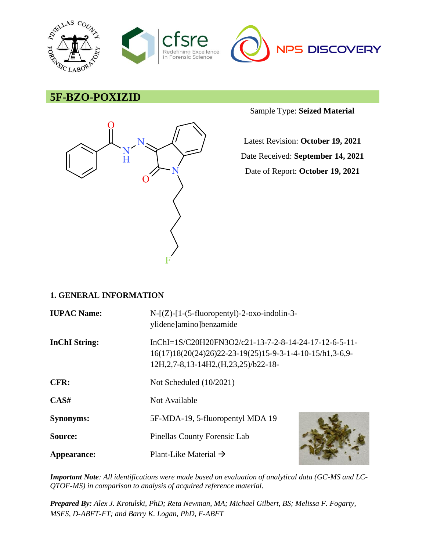

# **5F-BZO-POXIZID**



Sample Type: **Seized Material**

Latest Revision: **October 19, 2021** Date Received: **September 14, 2021** Date of Report: **October 19, 2021**

# **1. GENERAL INFORMATION**

| <b>IUPAC Name:</b>   | $N-[Z]-[1-(5-fluoropently]-2-oxo-indolin-3-$<br>ylidene]amino]benzamide                                                                                        |  |
|----------------------|----------------------------------------------------------------------------------------------------------------------------------------------------------------|--|
| <b>InChI</b> String: | InChI=1S/C20H20FN3O2/c21-13-7-2-8-14-24-17-12-6-5-11-<br>16(17)18(20(24)26)22-23-19(25)15-9-3-1-4-10-15/h1,3-6,9-<br>12H, 2, 7-8, 13-14H2, (H, 23, 25)/b22-18- |  |
| CFR:                 | Not Scheduled $(10/2021)$                                                                                                                                      |  |
| CAS#                 | Not Available                                                                                                                                                  |  |
| <b>Synonyms:</b>     | 5F-MDA-19, 5-fluoropentyl MDA 19                                                                                                                               |  |
| Source:              | Pinellas County Forensic Lab                                                                                                                                   |  |
| Appearance:          | Plant-Like Material $\rightarrow$                                                                                                                              |  |

*Important Note: All identifications were made based on evaluation of analytical data (GC-MS and LC-QTOF-MS) in comparison to analysis of acquired reference material.*

*Prepared By: Alex J. Krotulski, PhD; Reta Newman, MA; Michael Gilbert, BS; Melissa F. Fogarty, MSFS, D-ABFT-FT; and Barry K. Logan, PhD, F-ABFT*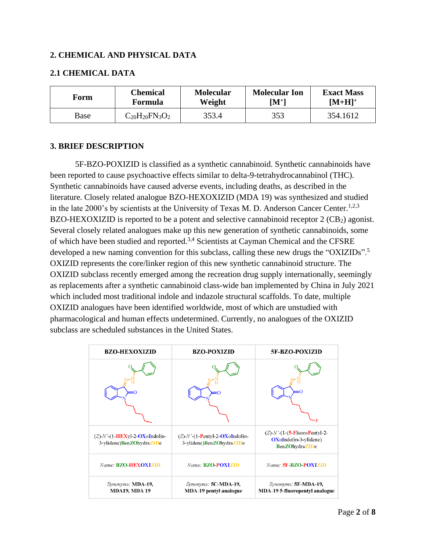### **2. CHEMICAL AND PHYSICAL DATA**

### **2.1 CHEMICAL DATA**

| Form | Chemical                       | <b>Molecular</b> | <b>Molecular Ion</b> | <b>Exact Mass</b> |
|------|--------------------------------|------------------|----------------------|-------------------|
|      | Formula                        | Weight           | $\mathbf{M}^+$       | $[M+H]^+$         |
| Base | $\rm{C_{20}H_{20}FN_{3}O_{2}}$ | 353.4            | 353                  | 354.1612          |

### **3. BRIEF DESCRIPTION**

5F-BZO-POXIZID is classified as a synthetic cannabinoid. Synthetic cannabinoids have been reported to cause psychoactive effects similar to delta-9-tetrahydrocannabinol (THC). Synthetic cannabinoids have caused adverse events, including deaths, as described in the literature. Closely related analogue BZO-HEXOXIZID (MDA 19) was synthesized and studied in the late 2000's by scientists at the University of Texas M. D. Anderson Cancer Center.<sup>1,2,3</sup> BZO-HEXOXIZID is reported to be a potent and selective cannabinoid receptor  $2$  (CB<sub>2</sub>) agonist. Several closely related analogues make up this new generation of synthetic cannabinoids, some of which have been studied and reported.3,4 Scientists at Cayman Chemical and the CFSRE developed a new naming convention for this subclass, calling these new drugs the "OXIZIDs".<sup>5</sup> OXIZID represents the core/linker region of this new synthetic cannabinoid structure. The OXIZID subclass recently emerged among the recreation drug supply internationally, seemingly as replacements after a synthetic cannabinoid class-wide ban implemented by China in July 2021 which included most traditional indole and indazole structural scaffolds. To date, multiple OXIZID analogues have been identified worldwide, most of which are unstudied with pharmacological and human effects undetermined. Currently, no analogues of the OXIZID subclass are scheduled substances in the United States.

| <b>BZO-HEXOXIZID</b>                                             | <b>BZO-POXIZID</b>                                                | 5F-BZO-POXIZID                                                                                        |
|------------------------------------------------------------------|-------------------------------------------------------------------|-------------------------------------------------------------------------------------------------------|
|                                                                  |                                                                   |                                                                                                       |
| $(Z)$ -N'- $(1$ -HEXyl-2-OXoIndolin-<br>3-ylidene)BenZOhydraZIDe | $(Z)$ -N'- $(1-$ Pentyl-2-OXoIndolin-<br>3-ylidene)BenZOhydraZIDe | $(Z)$ - $N'$ - $(1$ - $(5$ -FluoroPentyl-2-<br><b>OX</b> oIndolin-3-ylidene)<br><b>BenZOhydraZIDe</b> |
| Name: <b>BZO-HEXOXIZID</b>                                       | Name: <b>BZO-POXIZID</b>                                          | Name: 5F-BZO-POXIZID                                                                                  |
| Synonyms: MDA-19,<br><b>MDA19, MDA19</b>                         | Synonyms: 5C-MDA-19,<br><b>MDA-19 pentyl analogue</b>             | Synonyms: 5F-MDA-19,<br><b>MDA-19 5-fluoropentyl analogue</b>                                         |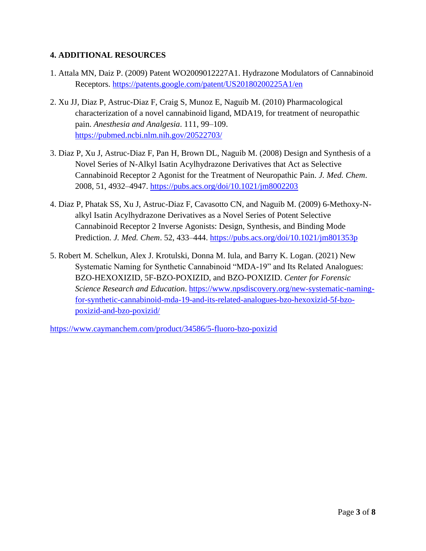# **4. ADDITIONAL RESOURCES**

- 1. Attala MN, Daiz P. (2009) Patent WO2009012227A1. Hydrazone Modulators of Cannabinoid Receptors.<https://patents.google.com/patent/US20180200225A1/en>
- 2. Xu JJ, Diaz P, Astruc-Diaz F, Craig S, Munoz E, Naguib M. (2010) Pharmacological characterization of a novel cannabinoid ligand, MDA19, for treatment of neuropathic pain. *Anesthesia and Analgesia*. 111, 99–109. <https://pubmed.ncbi.nlm.nih.gov/20522703/>
- 3. Diaz P, Xu J, Astruc-Diaz F, Pan H, Brown DL, Naguib M. (2008) Design and Synthesis of a Novel Series of N-Alkyl Isatin Acylhydrazone Derivatives that Act as Selective Cannabinoid Receptor 2 Agonist for the Treatment of Neuropathic Pain. *J. Med. Chem*. 2008, 51, 4932–4947.<https://pubs.acs.org/doi/10.1021/jm8002203>
- 4. Diaz P, Phatak SS, Xu J, Astruc-Diaz F, Cavasotto CN, and Naguib M. (2009) 6-Methoxy-Nalkyl Isatin Acylhydrazone Derivatives as a Novel Series of Potent Selective Cannabinoid Receptor 2 Inverse Agonists: Design, Synthesis, and Binding Mode Prediction. *J. Med. Chem*. 52, 433–444.<https://pubs.acs.org/doi/10.1021/jm801353p>
- 5. Robert M. Schelkun, Alex J. Krotulski, Donna M. Iula, and Barry K. Logan. (2021) New Systematic Naming for Synthetic Cannabinoid "MDA-19" and Its Related Analogues: BZO-HEXOXIZID, 5F-BZO-POXIZID, and BZO-POXIZID. *Center for Forensic Science Research and Education*. [https://www.npsdiscovery.org/new-systematic-naming](https://www.npsdiscovery.org/new-systematic-naming-for-synthetic-cannabinoid-mda-19-and-its-related-analogues-bzo-hexoxizid-5f-bzo-poxizid-and-bzo-poxizid/)[for-synthetic-cannabinoid-mda-19-and-its-related-analogues-bzo-hexoxizid-5f-bzo](https://www.npsdiscovery.org/new-systematic-naming-for-synthetic-cannabinoid-mda-19-and-its-related-analogues-bzo-hexoxizid-5f-bzo-poxizid-and-bzo-poxizid/)[poxizid-and-bzo-poxizid/](https://www.npsdiscovery.org/new-systematic-naming-for-synthetic-cannabinoid-mda-19-and-its-related-analogues-bzo-hexoxizid-5f-bzo-poxizid-and-bzo-poxizid/)

<https://www.caymanchem.com/product/34586/5-fluoro-bzo-poxizid>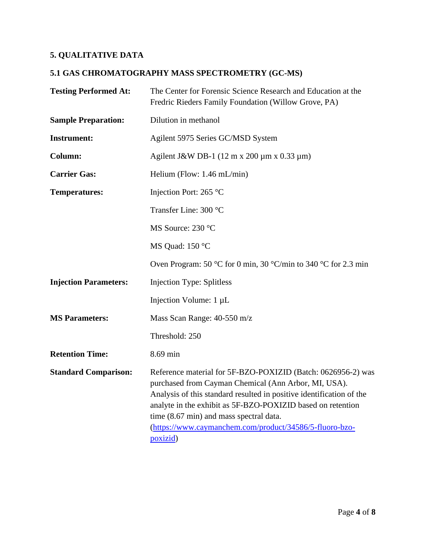# **5. QUALITATIVE DATA**

# **5.1 GAS CHROMATOGRAPHY MASS SPECTROMETRY (GC-MS)**

| <b>Testing Performed At:</b> | The Center for Forensic Science Research and Education at the<br>Fredric Rieders Family Foundation (Willow Grove, PA)                                                                                                                                                                                                                                                         |
|------------------------------|-------------------------------------------------------------------------------------------------------------------------------------------------------------------------------------------------------------------------------------------------------------------------------------------------------------------------------------------------------------------------------|
| <b>Sample Preparation:</b>   | Dilution in methanol                                                                                                                                                                                                                                                                                                                                                          |
| <b>Instrument:</b>           | Agilent 5975 Series GC/MSD System                                                                                                                                                                                                                                                                                                                                             |
| <b>Column:</b>               | Agilent J&W DB-1 $(12 \text{ m x } 200 \text{ µm x } 0.33 \text{ µm})$                                                                                                                                                                                                                                                                                                        |
| <b>Carrier Gas:</b>          | Helium (Flow: $1.46$ mL/min)                                                                                                                                                                                                                                                                                                                                                  |
| <b>Temperatures:</b>         | Injection Port: 265 °C                                                                                                                                                                                                                                                                                                                                                        |
|                              | Transfer Line: 300 °C                                                                                                                                                                                                                                                                                                                                                         |
|                              | MS Source: 230 °C                                                                                                                                                                                                                                                                                                                                                             |
|                              | MS Quad: 150 °C                                                                                                                                                                                                                                                                                                                                                               |
|                              | Oven Program: 50 °C for 0 min, 30 °C/min to 340 °C for 2.3 min                                                                                                                                                                                                                                                                                                                |
| <b>Injection Parameters:</b> | <b>Injection Type: Splitless</b>                                                                                                                                                                                                                                                                                                                                              |
|                              | Injection Volume: 1 µL                                                                                                                                                                                                                                                                                                                                                        |
| <b>MS Parameters:</b>        | Mass Scan Range: 40-550 m/z                                                                                                                                                                                                                                                                                                                                                   |
|                              | Threshold: 250                                                                                                                                                                                                                                                                                                                                                                |
| <b>Retention Time:</b>       | 8.69 min                                                                                                                                                                                                                                                                                                                                                                      |
| <b>Standard Comparison:</b>  | Reference material for 5F-BZO-POXIZID (Batch: 0626956-2) was<br>purchased from Cayman Chemical (Ann Arbor, MI, USA).<br>Analysis of this standard resulted in positive identification of the<br>analyte in the exhibit as 5F-BZO-POXIZID based on retention<br>time (8.67 min) and mass spectral data.<br>(https://www.caymanchem.com/product/34586/5-fluoro-bzo-<br>poxizid) |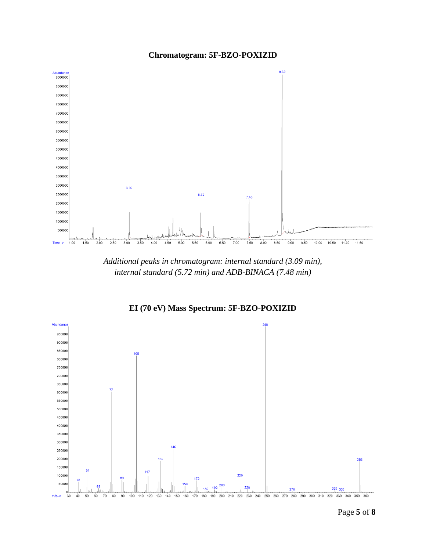



*Additional peaks in chromatogram: internal standard (3.09 min), internal standard (5.72 min) and ADB-BINACA (7.48 min)*



**EI (70 eV) Mass Spectrum: 5F-BZO-POXIZID**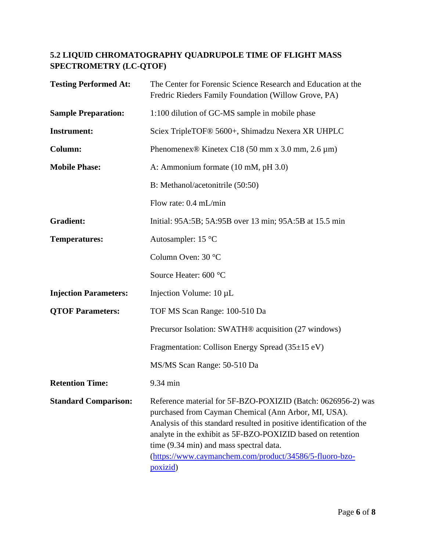# **5.2 LIQUID CHROMATOGRAPHY QUADRUPOLE TIME OF FLIGHT MASS SPECTROMETRY (LC-QTOF)**

| <b>Testing Performed At:</b> | The Center for Forensic Science Research and Education at the<br>Fredric Rieders Family Foundation (Willow Grove, PA)                                                                                                                                                                                                                                                         |
|------------------------------|-------------------------------------------------------------------------------------------------------------------------------------------------------------------------------------------------------------------------------------------------------------------------------------------------------------------------------------------------------------------------------|
| <b>Sample Preparation:</b>   | 1:100 dilution of GC-MS sample in mobile phase                                                                                                                                                                                                                                                                                                                                |
| <b>Instrument:</b>           | Sciex TripleTOF® 5600+, Shimadzu Nexera XR UHPLC                                                                                                                                                                                                                                                                                                                              |
| Column:                      | Phenomenex <sup>®</sup> Kinetex C18 (50 mm x 3.0 mm, 2.6 $\mu$ m)                                                                                                                                                                                                                                                                                                             |
| <b>Mobile Phase:</b>         | A: Ammonium formate (10 mM, pH 3.0)                                                                                                                                                                                                                                                                                                                                           |
|                              | B: Methanol/acetonitrile (50:50)                                                                                                                                                                                                                                                                                                                                              |
|                              | Flow rate: 0.4 mL/min                                                                                                                                                                                                                                                                                                                                                         |
| <b>Gradient:</b>             | Initial: 95A:5B; 5A:95B over 13 min; 95A:5B at 15.5 min                                                                                                                                                                                                                                                                                                                       |
| <b>Temperatures:</b>         | Autosampler: $15^{\circ}$ C                                                                                                                                                                                                                                                                                                                                                   |
|                              | Column Oven: 30 °C                                                                                                                                                                                                                                                                                                                                                            |
|                              | Source Heater: 600 °C                                                                                                                                                                                                                                                                                                                                                         |
| <b>Injection Parameters:</b> | Injection Volume: 10 µL                                                                                                                                                                                                                                                                                                                                                       |
| <b>QTOF Parameters:</b>      | TOF MS Scan Range: 100-510 Da                                                                                                                                                                                                                                                                                                                                                 |
|                              | Precursor Isolation: SWATH® acquisition (27 windows)                                                                                                                                                                                                                                                                                                                          |
|                              | Fragmentation: Collison Energy Spread (35±15 eV)                                                                                                                                                                                                                                                                                                                              |
|                              | MS/MS Scan Range: 50-510 Da                                                                                                                                                                                                                                                                                                                                                   |
| <b>Retention Time:</b>       | 9.34 min                                                                                                                                                                                                                                                                                                                                                                      |
| <b>Standard Comparison:</b>  | Reference material for 5F-BZO-POXIZID (Batch: 0626956-2) was<br>purchased from Cayman Chemical (Ann Arbor, MI, USA).<br>Analysis of this standard resulted in positive identification of the<br>analyte in the exhibit as 5F-BZO-POXIZID based on retention<br>time (9.34 min) and mass spectral data.<br>(https://www.caymanchem.com/product/34586/5-fluoro-bzo-<br>poxizid) |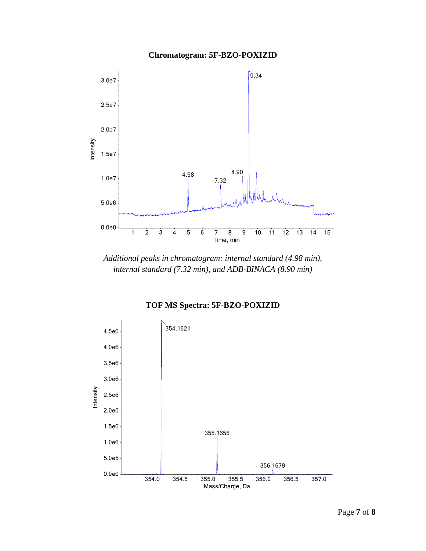# **Chromatogram: 5F-BZO-POXIZID**



*Additional peaks in chromatogram: internal standard (4.98 min), internal standard (7.32 min), and ADB-BINACA (8.90 min)*

**TOF MS Spectra: 5F-BZO-POXIZID**